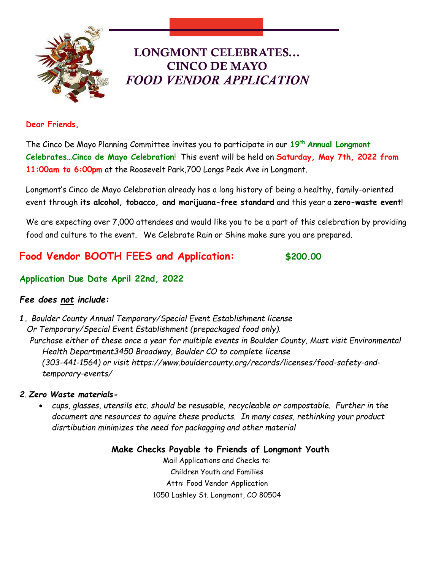

# LONGMONT CELEBRATES... CINCO DE MAYO *FOOD VENDOR APPLICATION*

#### **Dear Friends,**

The Cinco De Mayo Planning Committee invites you to participate in our **19 th Annual Longmont Celebrates…Cinco de Mayo Celebration**! This event will be held on **Saturday, May 7th, 2022 from 11:00am to 6:00pm** at the Roosevelt Park,700 Longs Peak Ave in Longmont.

Longmont's Cinco de Mayo Celebration already has a long history of being a healthy, family-oriented event through **its alcohol, tobacco, and marijuana-free standard** and this year a **zero-waste event**!

We are expecting over 7,000 attendees and would like you to be a part of this celebration by providing food and culture to the event. We Celebrate Rain or Shine make sure you are prepared.

## **Food Vendor BOOTH FEES and Application: \$200.00**

## **Application Due Date April 22nd, 2022**

## *Fee does not include:*

*1. Boulder County Annual Temporary/Special Event Establishment license Or Temporary/Special Event Establishment (prepackaged food only). Purchase either of these once a year for multiple events in Boulder County, Must visit Environmental Health Department3450 Broadway, Boulder CO to complete license (303-441-1564) or visit https://www.bouldercounty.org/records/licenses/food-safety-andtemporary-events/*

### *2. Zero Waste materials-*

• *cups, glasses, utensils etc. should be resusable, recycleable or compostable. Further in the document are resources to aquire these products. In many cases, rethinking your product disrtibution minimizes the need for packagging and other material*

> **Make Checks Payable to Friends of Longmont Youth** Mail Applications and Checks to: Children Youth and Families Attn: Food Vendor Application 1050 Lashley St. Longmont, CO 80504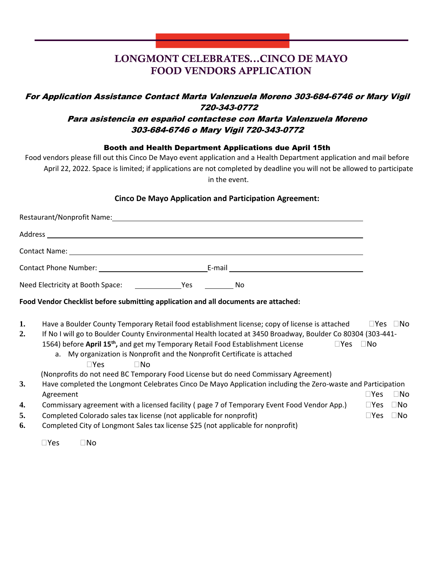## LONGMONT CELEBRATES...CINCO DE MAYO FOOD VENDORS APPLICATION

## For Application Assistance Contact Marta Valenzuela Moreno 303-684-6746 or Mary Vigil 720-343-0772

Longmont CO, 80501

### Para asistencia en español contactese con Marta Valenzuela Moreno 303-684-6746 o Mary Vigil 720-343-0772

Booth and Health Department Applications due April 15th

Food vendors please fill out this Cinco De Mayo event application and a Health Department application and mail before April 22, 2022. Space is limited; if applications are not completed by deadline you will not be allowed to participate in the event.

#### **Cinco De Mayo Application and Participation Agreement:**

|                | Food Vendor Checklist before submitting application and all documents are attached:                                                                                                                                                                                                                                                                                                                                                       |                             |                              |
|----------------|-------------------------------------------------------------------------------------------------------------------------------------------------------------------------------------------------------------------------------------------------------------------------------------------------------------------------------------------------------------------------------------------------------------------------------------------|-----------------------------|------------------------------|
| 1.<br>2.       | Have a Boulder County Temporary Retail food establishment license; copy of license is attached<br>If No I will go to Boulder County Environmental Health located at 3450 Broadway, Boulder Co 80304 (303-441-<br>1564) before April 15 <sup>th</sup> , and get my Temporary Retail Food Establishment License<br>$\square$ Yes<br>a. My organization is Nonprofit and the Nonprofit Certificate is attached<br>$\Box$ Yes<br>$\square$ No | ⊟No                         | $\Box$ Yes $\Box$ No         |
| 3.             | (Nonprofits do not need BC Temporary Food License but do need Commissary Agreement)<br>Have completed the Longmont Celebrates Cinco De Mayo Application including the Zero-waste and Participation<br>Agreement                                                                                                                                                                                                                           | $\square$ Yes               | $\square$ No                 |
| 4.<br>5.<br>6. | Commissary agreement with a licensed facility (page 7 of Temporary Event Food Vendor App.)<br>Completed Colorado sales tax license (not applicable for nonprofit)<br>Completed City of Longmont Sales tax license \$25 (not applicable for nonprofit)                                                                                                                                                                                     | $\square$ Yes<br>$\Box$ Yes | $\square$ No<br>$\square$ No |
|                | $\square$ No<br>$\square$ Yes                                                                                                                                                                                                                                                                                                                                                                                                             |                             |                              |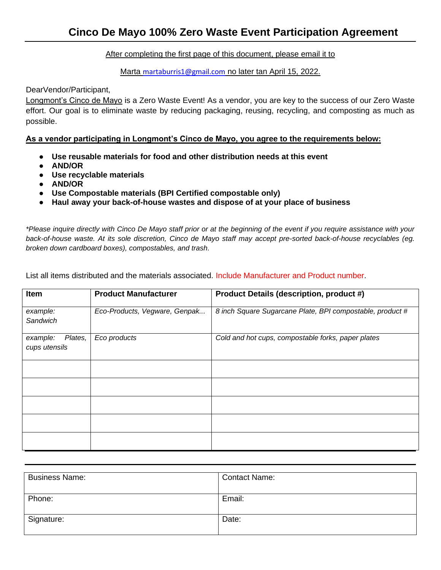#### After completing the first page of this document, please email it to

#### Marta [martaburris1@gmail.com](mailto:martaburris1@gmail.com) no later tan April 15, 2022.

#### DearVendor/Participant,

Longmont's Cinco de Mayo is a Zero Waste Event! As a vendor, you are key to the success of our Zero Waste effort. Our goal is to eliminate waste by reducing packaging, reusing, recycling, and composting as much as possible.

#### **As a vendor participating in Longmont's Cinco de Mayo, you agree to the requirements below:**

- **Use reusable materials for food and other distribution needs at this event**
- **AND/OR**
- **Use recyclable materials**
- **AND/OR**
- **Use Compostable materials (BPI Certified compostable only)**
- **Haul away your back-of-house wastes and dispose of at your place of business**

*\*Please inquire directly with Cinco De Mayo staff prior or at the beginning of the event if you require assistance with your back-of-house waste. At its sole discretion, Cinco de Mayo staff may accept pre-sorted back-of-house recyclables (eg. broken down cardboard boxes), compostables, and trash.*

List all items distributed and the materials associated. Include Manufacturer and Product number.

| Item                                 | <b>Product Manufacturer</b>   | <b>Product Details (description, product #)</b>           |
|--------------------------------------|-------------------------------|-----------------------------------------------------------|
| example:<br>Sandwich                 | Eco-Products, Vegware, Genpak | 8 inch Square Sugarcane Plate, BPI compostable, product # |
| Plates,<br>example:<br>cups utensils | Eco products                  | Cold and hot cups, compostable forks, paper plates        |
|                                      |                               |                                                           |
|                                      |                               |                                                           |
|                                      |                               |                                                           |
|                                      |                               |                                                           |
|                                      |                               |                                                           |

| <b>Business Name:</b> | <b>Contact Name:</b> |
|-----------------------|----------------------|
| Phone:                | Email:               |
| Signature:            | Date:                |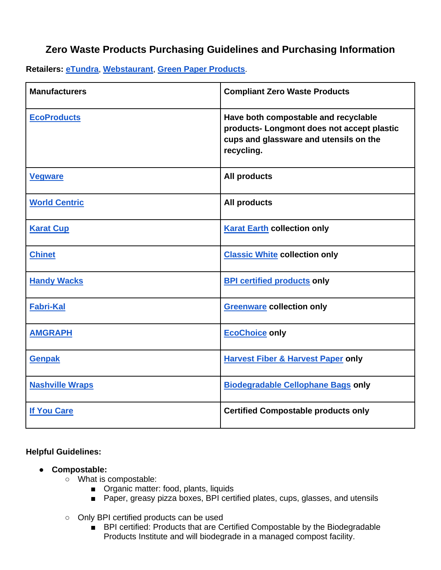## **Zero Waste Products Purchasing Guidelines and Purchasing Information**

**Retailers: [eTundra](https://www.etundra.com/)**, **[Webstaurant](https://www.webstaurantstore.com/)**, **[Green Paper Products](https://greenpaperproducts.com/)**.

| <b>Manufacturers</b>   | <b>Compliant Zero Waste Products</b>                                                                                                       |
|------------------------|--------------------------------------------------------------------------------------------------------------------------------------------|
| <b>EcoProducts</b>     | Have both compostable and recyclable<br>products- Longmont does not accept plastic<br>cups and glassware and utensils on the<br>recycling. |
| <b>Vegware</b>         | <b>All products</b>                                                                                                                        |
| <b>World Centric</b>   | <b>All products</b>                                                                                                                        |
| <b>Karat Cup</b>       | <b>Karat Earth collection only</b>                                                                                                         |
| <b>Chinet</b>          | <b>Classic White collection only</b>                                                                                                       |
| <b>Handy Wacks</b>     | <b>BPI certified products only</b>                                                                                                         |
| <b>Fabri-Kal</b>       | <b>Greenware collection only</b>                                                                                                           |
| <b>AMGRAPH</b>         | <b>EcoChoice only</b>                                                                                                                      |
| <b>Genpak</b>          | <b>Harvest Fiber &amp; Harvest Paper only</b>                                                                                              |
| <b>Nashville Wraps</b> | <b>Biodegradable Cellophane Bags only</b>                                                                                                  |
| <b>If You Care</b>     | <b>Certified Compostable products only</b>                                                                                                 |

### **Helpful Guidelines:**

- **Compostable:** 
	- What is compostable:
		- Organic matter: food, plants, liquids
		- Paper, greasy pizza boxes, BPI certified plates, cups, glasses, and utensils
	- Only BPI certified products can be used
		- BPI certified: Products that are Certified Compostable by the Biodegradable Products Institute and will biodegrade in a managed compost facility.